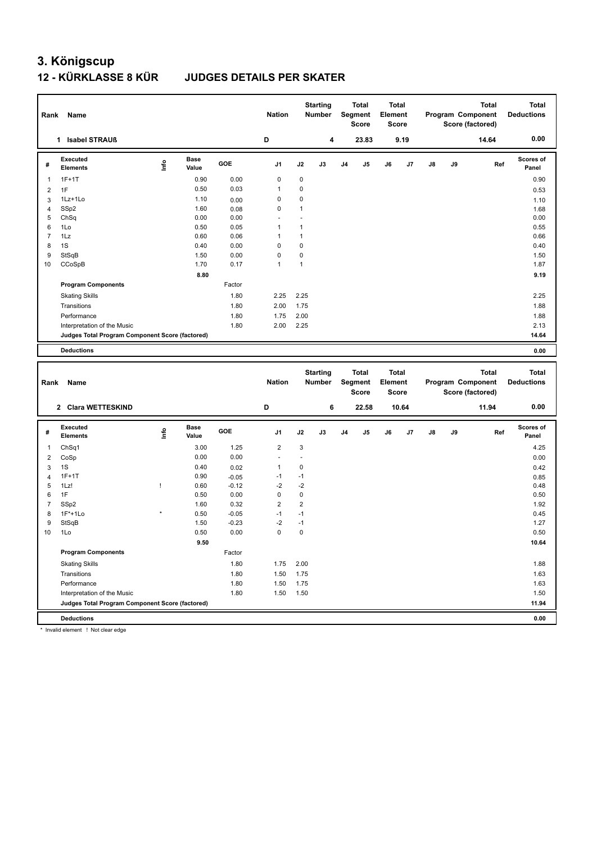### **12 - KÜRKLASSE 8 KÜR JUDGES DETAILS PER SKATER**

| Rank                | Name                                            |             |                      |                    | <b>Nation</b>          |                | <b>Starting</b><br>Number        |                | <b>Total</b><br>Segment<br><b>Score</b> | <b>Total</b><br>Element<br><b>Score</b> |       |    |    | <b>Total</b><br>Program Component<br>Score (factored) | <b>Total</b><br><b>Deductions</b> |
|---------------------|-------------------------------------------------|-------------|----------------------|--------------------|------------------------|----------------|----------------------------------|----------------|-----------------------------------------|-----------------------------------------|-------|----|----|-------------------------------------------------------|-----------------------------------|
|                     | 1 Isabel STRAUß                                 |             |                      |                    | D                      |                | 4                                |                | 23.83                                   |                                         | 9.19  |    |    | 14.64                                                 | 0.00                              |
| $\#$                | Executed<br><b>Elements</b>                     | Lnfo        | <b>Base</b><br>Value | GOE                | J1                     | J2             | J3                               | J <sub>4</sub> | J5                                      | J6                                      | J7    | J8 | J9 | Ref                                                   | <b>Scores of</b><br>Panel         |
| $\mathbf{1}$        | $1F+1T$                                         |             | 0.90                 | 0.00               | $\mathbf 0$            | $\mathbf 0$    |                                  |                |                                         |                                         |       |    |    |                                                       | 0.90                              |
| $\overline{2}$      | 1F                                              |             | 0.50                 | 0.03               | 1                      | $\mathbf 0$    |                                  |                |                                         |                                         |       |    |    |                                                       | 0.53                              |
| 3                   | 1Lz+1Lo                                         |             | 1.10                 | 0.00               | $\mathbf 0$            | $\mathbf 0$    |                                  |                |                                         |                                         |       |    |    |                                                       | 1.10                              |
| $\overline{4}$      | SSp2                                            |             | 1.60                 | 0.08               | $\mathbf 0$            | $\mathbf{1}$   |                                  |                |                                         |                                         |       |    |    |                                                       | 1.68                              |
| 5                   | ChSq                                            |             | 0.00                 | 0.00               | ÷.                     | ÷.             |                                  |                |                                         |                                         |       |    |    |                                                       | 0.00                              |
| 6                   | 1Lo                                             |             | 0.50                 | 0.05               | 1                      | $\mathbf{1}$   |                                  |                |                                         |                                         |       |    |    |                                                       | 0.55                              |
| $\overline{7}$      | 1Lz                                             |             | 0.60                 | 0.06               | $\mathbf{1}$           | $\mathbf{1}$   |                                  |                |                                         |                                         |       |    |    |                                                       | 0.66                              |
| 8                   | 1S                                              |             | 0.40                 | 0.00               | $\mathbf 0$            | $\mathbf 0$    |                                  |                |                                         |                                         |       |    |    |                                                       | 0.40                              |
| 9                   | StSqB                                           |             | 1.50                 | 0.00               | $\overline{0}$         | $\mathbf 0$    |                                  |                |                                         |                                         |       |    |    |                                                       | 1.50                              |
| 10                  | CCoSpB                                          |             | 1.70                 | 0.17               | $\mathbf{1}$           | $\mathbf{1}$   |                                  |                |                                         |                                         |       |    |    |                                                       | 1.87                              |
|                     |                                                 |             | 8.80                 |                    |                        |                |                                  |                |                                         |                                         |       |    |    |                                                       | 9.19                              |
|                     | <b>Program Components</b>                       |             |                      | Factor             |                        |                |                                  |                |                                         |                                         |       |    |    |                                                       |                                   |
|                     | <b>Skating Skills</b>                           |             |                      | 1.80               | 2.25                   | 2.25           |                                  |                |                                         |                                         |       |    |    |                                                       | 2.25                              |
|                     | Transitions                                     |             |                      | 1.80               | 2.00                   | 1.75           |                                  |                |                                         |                                         |       |    |    |                                                       | 1.88                              |
|                     | Performance                                     |             |                      | 1.80               | 1.75                   | 2.00           |                                  |                |                                         |                                         |       |    |    |                                                       | 1.88                              |
|                     | Interpretation of the Music                     |             |                      | 1.80               | 2.00                   | 2.25           |                                  |                |                                         |                                         |       |    |    |                                                       | 2.13                              |
|                     | Judges Total Program Component Score (factored) |             |                      |                    |                        |                |                                  |                |                                         |                                         |       |    |    |                                                       | 14.64                             |
|                     | <b>Deductions</b>                               |             |                      |                    |                        |                |                                  |                |                                         |                                         |       |    |    |                                                       |                                   |
|                     |                                                 |             |                      |                    |                        |                |                                  |                |                                         |                                         |       |    |    |                                                       |                                   |
|                     |                                                 |             |                      |                    |                        |                |                                  |                |                                         |                                         |       |    |    |                                                       | 0.00                              |
| Rank                | <b>Name</b>                                     |             |                      |                    | <b>Nation</b>          |                | <b>Starting</b><br><b>Number</b> |                | <b>Total</b><br>Segment<br><b>Score</b> | <b>Total</b><br>Element<br><b>Score</b> |       |    |    | <b>Total</b><br>Program Component<br>Score (factored) | <b>Total</b><br><b>Deductions</b> |
|                     | 2 Clara WETTESKIND                              |             |                      |                    | D                      |                | 6                                |                | 22.58                                   |                                         | 10.64 |    |    | 11.94                                                 | 0.00                              |
| $\#$                | Executed<br><b>Elements</b>                     | <b>Info</b> | <b>Base</b><br>Value | GOE                | J1                     | J2             | J3                               | J <sub>4</sub> | J <sub>5</sub>                          | J6                                      | J7    | J8 | J9 | Ref                                                   | <b>Scores of</b><br>Panel         |
| $\mathbf{1}$        | ChSq1                                           |             | 3.00                 | 1.25               | $\overline{2}$         | 3              |                                  |                |                                         |                                         |       |    |    |                                                       | 4.25                              |
|                     |                                                 |             | 0.00                 | 0.00               | L,                     | ÷,             |                                  |                |                                         |                                         |       |    |    |                                                       |                                   |
| $\overline{2}$      | CoSp                                            |             |                      |                    |                        |                |                                  |                |                                         |                                         |       |    |    |                                                       | 0.00                              |
| 3                   | 1S                                              |             | 0.40                 | 0.02               | $\mathbf{1}$<br>$-1$   | $\mathbf 0$    |                                  |                |                                         |                                         |       |    |    |                                                       | 0.42                              |
| $\overline{4}$<br>5 | $1F+1T$<br>1Lz!                                 | Ţ           | 0.90                 | $-0.05$<br>$-0.12$ | $-2$                   | $-1$<br>$-2$   |                                  |                |                                         |                                         |       |    |    |                                                       | 0.85                              |
|                     |                                                 |             | 0.60                 |                    |                        |                |                                  |                |                                         |                                         |       |    |    |                                                       | 0.48                              |
| 6<br>$\overline{7}$ | 1F                                              |             | 0.50                 | 0.00               | $\mathsf 0$            | $\mathbf 0$    |                                  |                |                                         |                                         |       |    |    |                                                       | 0.50                              |
|                     | SSp2                                            |             | 1.60                 | 0.32               | $\overline{2}$<br>$-1$ | $\overline{2}$ |                                  |                |                                         |                                         |       |    |    |                                                       | 1.92                              |
| 8                   | $1F*+1Lo$                                       |             | 0.50                 | $-0.05$            |                        | $-1$<br>$-1$   |                                  |                |                                         |                                         |       |    |    |                                                       | 0.45                              |
| 9<br>10             | StSqB<br>1Lo                                    |             | 1.50<br>0.50         | $-0.23$<br>0.00    | $-2$<br>$\mathbf 0$    | $\mathbf 0$    |                                  |                |                                         |                                         |       |    |    |                                                       | 1.27<br>0.50                      |
|                     |                                                 |             | 9.50                 |                    |                        |                |                                  |                |                                         |                                         |       |    |    |                                                       |                                   |
|                     | <b>Program Components</b>                       |             |                      | Factor             |                        |                |                                  |                |                                         |                                         |       |    |    |                                                       | 10.64                             |

Transitions 1.80 1.50 1.75 1.63

Performance 1.80 1.50 1.75 1.63 Interpretation of the Music 1.80 1.50 1.50 1.50 **Judges Total Program Component Score (factored) 11.94**

**Deductions 0.00**

\* Invalid element ! Not clear edge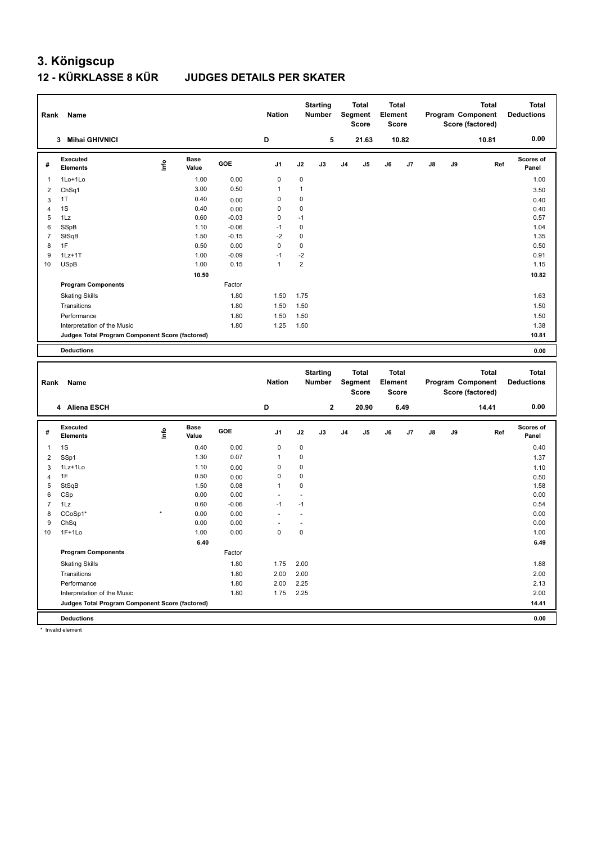#### **12 - KÜRKLASSE 8 KÜR JUDGES DETAILS PER SKATER**

| Rank           | Name                                                                           |      |                      |         | <b>Nation</b>  |                | <b>Starting</b><br><b>Number</b> |                | <b>Total</b><br>Segment<br><b>Score</b> | Element | <b>Total</b><br><b>Score</b> |    |    | <b>Total</b><br>Program Component<br>Score (factored) | <b>Total</b><br><b>Deductions</b> |
|----------------|--------------------------------------------------------------------------------|------|----------------------|---------|----------------|----------------|----------------------------------|----------------|-----------------------------------------|---------|------------------------------|----|----|-------------------------------------------------------|-----------------------------------|
|                | 3 Mihai GHIVNICI                                                               |      |                      |         | D              |                | 5                                |                | 21.63                                   |         | 10.82                        |    |    | 10.81                                                 | 0.00                              |
| #              | Executed<br><b>Elements</b>                                                    | lnfo | <b>Base</b><br>Value | GOE     | J <sub>1</sub> | J2             | J3                               | J <sub>4</sub> | J5                                      | J6      | J7                           | J8 | J9 | Ref                                                   | <b>Scores of</b><br>Panel         |
| $\overline{1}$ | 1Lo+1Lo                                                                        |      | 1.00                 | 0.00    | $\mathsf 0$    | $\mathbf 0$    |                                  |                |                                         |         |                              |    |    |                                                       | 1.00                              |
| $\overline{2}$ | ChSq1                                                                          |      | 3.00                 | 0.50    | $\mathbf{1}$   | $\mathbf{1}$   |                                  |                |                                         |         |                              |    |    |                                                       | 3.50                              |
| $\mathbf{3}$   | 1T                                                                             |      | 0.40                 | 0.00    | $\mathbf 0$    | $\mathbf 0$    |                                  |                |                                         |         |                              |    |    |                                                       | 0.40                              |
| $\overline{4}$ | 1S                                                                             |      | 0.40                 | 0.00    | $\pmb{0}$      | $\mathbf 0$    |                                  |                |                                         |         |                              |    |    |                                                       | 0.40                              |
| 5              | 1Lz                                                                            |      | 0.60                 | $-0.03$ | 0              | $-1$           |                                  |                |                                         |         |                              |    |    |                                                       | 0.57                              |
| 6              | SSpB                                                                           |      | 1.10                 | $-0.06$ | $-1$           | $\mathbf 0$    |                                  |                |                                         |         |                              |    |    |                                                       | 1.04                              |
| $\overline{7}$ | StSqB                                                                          |      | 1.50                 | $-0.15$ | $-2$           | $\mathbf 0$    |                                  |                |                                         |         |                              |    |    |                                                       | 1.35                              |
| 8              | 1F                                                                             |      | 0.50                 | 0.00    | $\mathsf 0$    | $\mathbf 0$    |                                  |                |                                         |         |                              |    |    |                                                       | 0.50                              |
| 9              | $1Lz+1T$                                                                       |      | 1.00                 | $-0.09$ | $-1$           | $-2$           |                                  |                |                                         |         |                              |    |    |                                                       | 0.91                              |
| 10             | <b>USpB</b>                                                                    |      | 1.00                 | 0.15    | $\mathbf{1}$   | $\overline{2}$ |                                  |                |                                         |         |                              |    |    |                                                       | 1.15                              |
|                |                                                                                |      | 10.50                |         |                |                |                                  |                |                                         |         |                              |    |    |                                                       | 10.82                             |
|                | <b>Program Components</b>                                                      |      |                      | Factor  |                |                |                                  |                |                                         |         |                              |    |    |                                                       |                                   |
|                | <b>Skating Skills</b>                                                          |      |                      | 1.80    | 1.50           | 1.75           |                                  |                |                                         |         |                              |    |    |                                                       | 1.63                              |
|                | Transitions                                                                    |      |                      | 1.80    | 1.50           | 1.50           |                                  |                |                                         |         |                              |    |    |                                                       | 1.50                              |
|                | Performance                                                                    |      |                      | 1.80    | 1.50           | 1.50           |                                  |                |                                         |         |                              |    |    |                                                       | 1.50                              |
|                | Interpretation of the Music                                                    |      |                      | 1.80    | 1.25           | 1.50           |                                  |                |                                         |         |                              |    |    |                                                       | 1.38                              |
|                | Judges Total Program Component Score (factored)                                |      |                      |         |                |                |                                  |                |                                         |         |                              |    |    |                                                       | 10.81                             |
|                | <b>Deductions</b>                                                              |      |                      |         |                |                |                                  |                |                                         |         |                              |    |    |                                                       | 0.00                              |
|                |                                                                                |      |                      |         |                |                |                                  |                |                                         |         |                              |    |    |                                                       |                                   |
|                |                                                                                |      |                      |         |                |                |                                  |                |                                         |         |                              |    |    |                                                       |                                   |
|                |                                                                                |      |                      |         |                |                | <b>Starting</b>                  |                | <b>Total</b>                            |         | <b>Total</b>                 |    |    | <b>Total</b>                                          | <b>Total</b>                      |
| Rank           | Name                                                                           |      |                      |         | <b>Nation</b>  |                | <b>Number</b>                    |                | Segment                                 | Element |                              |    |    | Program Component                                     | <b>Deductions</b>                 |
|                |                                                                                |      |                      |         |                |                |                                  |                | Score                                   |         | Score                        |    |    | Score (factored)                                      |                                   |
|                | 4 Aliena ESCH                                                                  |      |                      |         | D              |                | $\mathbf 2$                      |                | 20.90                                   |         | 6.49                         |    |    | 14.41                                                 | 0.00                              |
|                | Executed                                                                       |      | <b>Base</b>          | GOE     |                |                |                                  |                |                                         |         |                              |    |    |                                                       | Scores of                         |
| #              | <b>Elements</b>                                                                | lnfo | Value                |         | J1             | J2             | J3                               | J <sub>4</sub> | J5                                      | J6      | J7                           | J8 | J9 | Ref                                                   | Panel                             |
| $\mathbf{1}$   | 1S                                                                             |      | 0.40                 | 0.00    | $\mathbf 0$    | $\mathbf 0$    |                                  |                |                                         |         |                              |    |    |                                                       | 0.40                              |
| $\overline{2}$ | SSp1                                                                           |      | 1.30                 | 0.07    | $\mathbf{1}$   | $\mathbf 0$    |                                  |                |                                         |         |                              |    |    |                                                       | 1.37                              |
| 3              | 1Lz+1Lo                                                                        |      | 1.10                 | 0.00    | $\pmb{0}$      | $\mathbf 0$    |                                  |                |                                         |         |                              |    |    |                                                       | 1.10                              |
| $\overline{4}$ | 1F                                                                             |      | 0.50                 | 0.00    | $\mathbf 0$    | $\mathbf 0$    |                                  |                |                                         |         |                              |    |    |                                                       | 0.50                              |
| 5              | StSqB                                                                          |      | 1.50                 | 0.08    | $\mathbf{1}$   | $\mathbf 0$    |                                  |                |                                         |         |                              |    |    |                                                       | 1.58                              |
| 6              | CSp                                                                            |      | 0.00                 | 0.00    | $\overline{a}$ | $\overline{a}$ |                                  |                |                                         |         |                              |    |    |                                                       | 0.00                              |
| $\overline{7}$ | 1Lz                                                                            |      | 0.60                 | $-0.06$ | $-1$           | $-1$           |                                  |                |                                         |         |                              |    |    |                                                       | 0.54                              |
| 8              | CCoSp1*                                                                        |      | 0.00                 | 0.00    | ÷,             | $\overline{a}$ |                                  |                |                                         |         |                              |    |    |                                                       | 0.00                              |
| 9              | ChSq                                                                           |      | 0.00                 | 0.00    |                | ÷,             |                                  |                |                                         |         |                              |    |    |                                                       | 0.00                              |
| 10             | $1F+1Lo$                                                                       |      | 1.00                 | 0.00    | $\pmb{0}$      | $\mathbf 0$    |                                  |                |                                         |         |                              |    |    |                                                       | 1.00                              |
|                |                                                                                |      | 6.40                 |         |                |                |                                  |                |                                         |         |                              |    |    |                                                       | 6.49                              |
|                | <b>Program Components</b>                                                      |      |                      | Factor  |                |                |                                  |                |                                         |         |                              |    |    |                                                       |                                   |
|                | <b>Skating Skills</b>                                                          |      |                      | 1.80    | 1.75           | 2.00           |                                  |                |                                         |         |                              |    |    |                                                       | 1.88                              |
|                | Transitions                                                                    |      |                      | 1.80    | 2.00           | 2.00           |                                  |                |                                         |         |                              |    |    |                                                       | 2.00                              |
|                | Performance                                                                    |      |                      | 1.80    | 2.00           | 2.25           |                                  |                |                                         |         |                              |    |    |                                                       | 2.13                              |
|                | Interpretation of the Music<br>Judges Total Program Component Score (factored) |      |                      | 1.80    | 1.75           | 2.25           |                                  |                |                                         |         |                              |    |    |                                                       | 2.00<br>14.41                     |

**Deductions 0.00**

\* Invalid element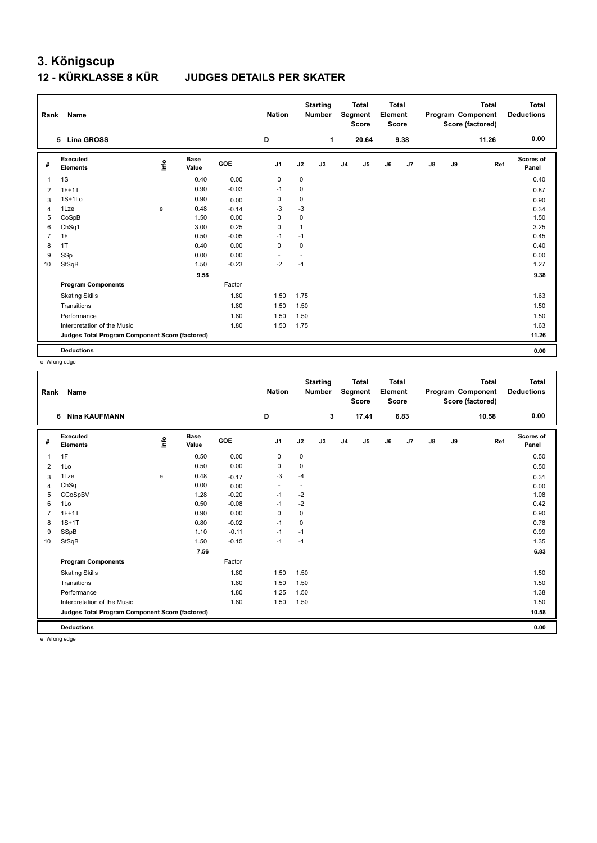#### **12 - KÜRKLASSE 8 KÜR JUDGES DETAILS PER SKATER**

| Rank           | Name                                            |      |                      |            | <b>Nation</b>            |                | <b>Starting</b><br><b>Number</b> |                | <b>Total</b><br>Segment<br><b>Score</b> | <b>Total</b><br>Element<br><b>Score</b> |      |               |    | <b>Total</b><br>Program Component<br>Score (factored) | <b>Total</b><br><b>Deductions</b> |
|----------------|-------------------------------------------------|------|----------------------|------------|--------------------------|----------------|----------------------------------|----------------|-----------------------------------------|-----------------------------------------|------|---------------|----|-------------------------------------------------------|-----------------------------------|
|                | <b>Lina GROSS</b><br>5                          |      |                      |            | D                        |                | 1                                |                | 20.64                                   |                                         | 9.38 |               |    | 11.26                                                 | 0.00                              |
| #              | Executed<br><b>Elements</b>                     | lnfo | <b>Base</b><br>Value | <b>GOE</b> | J <sub>1</sub>           | J2             | J3                               | J <sub>4</sub> | J <sub>5</sub>                          | J6                                      | J7   | $\mathsf{J}8$ | J9 | Ref                                                   | Scores of<br>Panel                |
| 1              | 1S                                              |      | 0.40                 | 0.00       | 0                        | 0              |                                  |                |                                         |                                         |      |               |    |                                                       | 0.40                              |
| $\overline{2}$ | $1F+1T$                                         |      | 0.90                 | $-0.03$    | $-1$                     | 0              |                                  |                |                                         |                                         |      |               |    |                                                       | 0.87                              |
| 3              | $1S+1Lo$                                        |      | 0.90                 | 0.00       | $\mathbf 0$              | 0              |                                  |                |                                         |                                         |      |               |    |                                                       | 0.90                              |
| 4              | 1Lze                                            | e    | 0.48                 | $-0.14$    | $-3$                     | $-3$           |                                  |                |                                         |                                         |      |               |    |                                                       | 0.34                              |
| 5              | CoSpB                                           |      | 1.50                 | 0.00       | 0                        | 0              |                                  |                |                                         |                                         |      |               |    |                                                       | 1.50                              |
| 6              | ChSq1                                           |      | 3.00                 | 0.25       | 0                        | $\mathbf{1}$   |                                  |                |                                         |                                         |      |               |    |                                                       | 3.25                              |
| 7              | 1F                                              |      | 0.50                 | $-0.05$    | $-1$                     | $-1$           |                                  |                |                                         |                                         |      |               |    |                                                       | 0.45                              |
| 8              | 1T                                              |      | 0.40                 | 0.00       | 0                        | 0              |                                  |                |                                         |                                         |      |               |    |                                                       | 0.40                              |
| 9              | SSp                                             |      | 0.00                 | 0.00       | $\overline{\phantom{a}}$ | $\blacksquare$ |                                  |                |                                         |                                         |      |               |    |                                                       | 0.00                              |
| 10             | StSqB                                           |      | 1.50                 | $-0.23$    | $-2$                     | $-1$           |                                  |                |                                         |                                         |      |               |    |                                                       | 1.27                              |
|                |                                                 |      | 9.58                 |            |                          |                |                                  |                |                                         |                                         |      |               |    |                                                       | 9.38                              |
|                | <b>Program Components</b>                       |      |                      | Factor     |                          |                |                                  |                |                                         |                                         |      |               |    |                                                       |                                   |
|                | <b>Skating Skills</b>                           |      |                      | 1.80       | 1.50                     | 1.75           |                                  |                |                                         |                                         |      |               |    |                                                       | 1.63                              |
|                | Transitions                                     |      |                      | 1.80       | 1.50                     | 1.50           |                                  |                |                                         |                                         |      |               |    |                                                       | 1.50                              |
|                | Performance                                     |      |                      | 1.80       | 1.50                     | 1.50           |                                  |                |                                         |                                         |      |               |    |                                                       | 1.50                              |
|                | Interpretation of the Music                     |      |                      | 1.80       | 1.50                     | 1.75           |                                  |                |                                         |                                         |      |               |    |                                                       | 1.63                              |
|                | Judges Total Program Component Score (factored) |      |                      |            |                          |                |                                  |                |                                         |                                         |      |               |    |                                                       | 11.26                             |
|                | <b>Deductions</b>                               |      |                      |            |                          |                |                                  |                |                                         |                                         |      |               |    |                                                       | 0.00                              |

e Wrong edge

| Rank           | Name                                            |      |                      |         | <b>Nation</b>  |                | <b>Starting</b><br><b>Number</b> |                | <b>Total</b><br>Segment<br><b>Score</b> | <b>Total</b><br>Element<br><b>Score</b> |      |               |    | <b>Total</b><br>Program Component<br>Score (factored) | <b>Total</b><br><b>Deductions</b> |
|----------------|-------------------------------------------------|------|----------------------|---------|----------------|----------------|----------------------------------|----------------|-----------------------------------------|-----------------------------------------|------|---------------|----|-------------------------------------------------------|-----------------------------------|
|                | <b>Nina KAUFMANN</b><br>6                       |      |                      |         | D              |                | 3                                |                | 17.41                                   |                                         | 6.83 |               |    | 10.58                                                 | 0.00                              |
| #              | Executed<br><b>Elements</b>                     | lnfo | <b>Base</b><br>Value | GOE     | J <sub>1</sub> | J2             | J3                               | J <sub>4</sub> | J5                                      | J6                                      | J7   | $\mathsf{J}8$ | J9 | Ref                                                   | Scores of<br>Panel                |
| 1              | 1F                                              |      | 0.50                 | 0.00    | 0              | $\pmb{0}$      |                                  |                |                                         |                                         |      |               |    |                                                       | 0.50                              |
| $\overline{2}$ | 1Lo                                             |      | 0.50                 | 0.00    | 0              | 0              |                                  |                |                                         |                                         |      |               |    |                                                       | 0.50                              |
| 3              | 1Lze                                            | e    | 0.48                 | $-0.17$ | $-3$           | -4             |                                  |                |                                         |                                         |      |               |    |                                                       | 0.31                              |
| 4              | ChSq                                            |      | 0.00                 | 0.00    | $\blacksquare$ | $\blacksquare$ |                                  |                |                                         |                                         |      |               |    |                                                       | 0.00                              |
| 5              | CCoSpBV                                         |      | 1.28                 | $-0.20$ | $-1$           | $-2$           |                                  |                |                                         |                                         |      |               |    |                                                       | 1.08                              |
| 6              | 1Lo                                             |      | 0.50                 | $-0.08$ | $-1$           | $-2$           |                                  |                |                                         |                                         |      |               |    |                                                       | 0.42                              |
| 7              | $1F+1T$                                         |      | 0.90                 | 0.00    | 0              | $\pmb{0}$      |                                  |                |                                         |                                         |      |               |    |                                                       | 0.90                              |
| 8              | $1S+1T$                                         |      | 0.80                 | $-0.02$ | $-1$           | 0              |                                  |                |                                         |                                         |      |               |    |                                                       | 0.78                              |
| 9              | SSpB                                            |      | 1.10                 | $-0.11$ | $-1$           | $-1$           |                                  |                |                                         |                                         |      |               |    |                                                       | 0.99                              |
| 10             | StSqB                                           |      | 1.50                 | $-0.15$ | $-1$           | $-1$           |                                  |                |                                         |                                         |      |               |    |                                                       | 1.35                              |
|                |                                                 |      | 7.56                 |         |                |                |                                  |                |                                         |                                         |      |               |    |                                                       | 6.83                              |
|                | <b>Program Components</b>                       |      |                      | Factor  |                |                |                                  |                |                                         |                                         |      |               |    |                                                       |                                   |
|                | <b>Skating Skills</b>                           |      |                      | 1.80    | 1.50           | 1.50           |                                  |                |                                         |                                         |      |               |    |                                                       | 1.50                              |
|                | Transitions                                     |      |                      | 1.80    | 1.50           | 1.50           |                                  |                |                                         |                                         |      |               |    |                                                       | 1.50                              |
|                | Performance                                     |      |                      | 1.80    | 1.25           | 1.50           |                                  |                |                                         |                                         |      |               |    |                                                       | 1.38                              |
|                | Interpretation of the Music                     |      |                      | 1.80    | 1.50           | 1.50           |                                  |                |                                         |                                         |      |               |    |                                                       | 1.50                              |
|                | Judges Total Program Component Score (factored) |      |                      |         |                |                |                                  |                |                                         |                                         |      |               |    |                                                       | 10.58                             |
|                | <b>Deductions</b>                               |      |                      |         |                |                |                                  |                |                                         |                                         |      |               |    |                                                       | 0.00                              |
|                | a Meann adapt                                   |      |                      |         |                |                |                                  |                |                                         |                                         |      |               |    |                                                       |                                   |

e Wrong edge